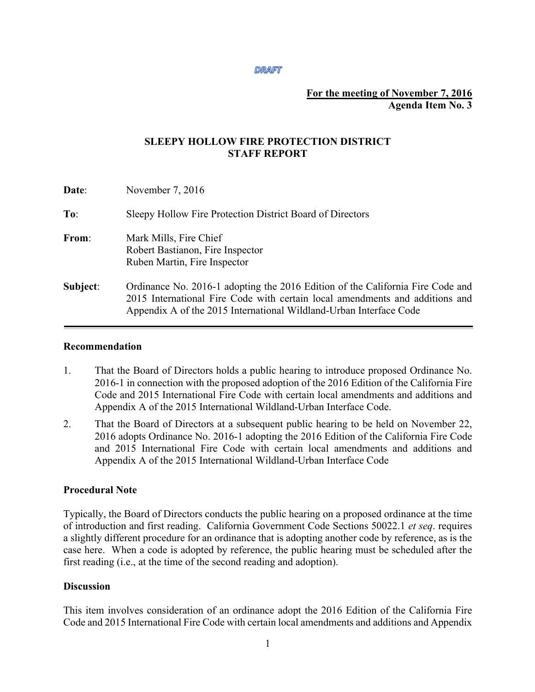#### **DRAFT**

#### **For the meeting of November 7, 2016 Agenda Item No. 3**

## **SLEEPY HOLLOW FIRE PROTECTION DISTRICT STAFF REPORT**

| Date:    | November 7, 2016                                                                                                                                                                                                                     |
|----------|--------------------------------------------------------------------------------------------------------------------------------------------------------------------------------------------------------------------------------------|
| To:      | Sleepy Hollow Fire Protection District Board of Directors                                                                                                                                                                            |
| From:    | Mark Mills, Fire Chief<br>Robert Bastianon, Fire Inspector<br>Ruben Martin, Fire Inspector                                                                                                                                           |
| Subject: | Ordinance No. 2016-1 adopting the 2016 Edition of the California Fire Code and<br>2015 International Fire Code with certain local amendments and additions and<br>Appendix A of the 2015 International Wildland-Urban Interface Code |

#### **Recommendation**

- 1. That the Board of Directors holds a public hearing to introduce proposed Ordinance No. 2016-1 in connection with the proposed adoption of the 2016 Edition of the California Fire Code and 2015 International Fire Code with certain local amendments and additions and Appendix A of the 2015 International Wildland-Urban Interface Code.
- 2. That the Board of Directors at a subsequent public hearing to be held on November 22, 2016 adopts Ordinance No. 2016-1 adopting the 2016 Edition of the California Fire Code and 2015 International Fire Code with certain local amendments and additions and Appendix A of the 2015 International Wildland-Urban Interface Code

# **Procedural Note**

Typically, the Board of Directors conducts the public hearing on a proposed ordinance at the time of introduction and first reading. California Government Code Sections 50022.1 *et seq*. requires a slightly different procedure for an ordinance that is adopting another code by reference, as is the case here. When a code is adopted by reference, the public hearing must be scheduled after the first reading (i.e., at the time of the second reading and adoption).

#### **Discussion**

This item involves consideration of an ordinance adopt the 2016 Edition of the California Fire Code and 2015 International Fire Code with certain local amendments and additions and Appendix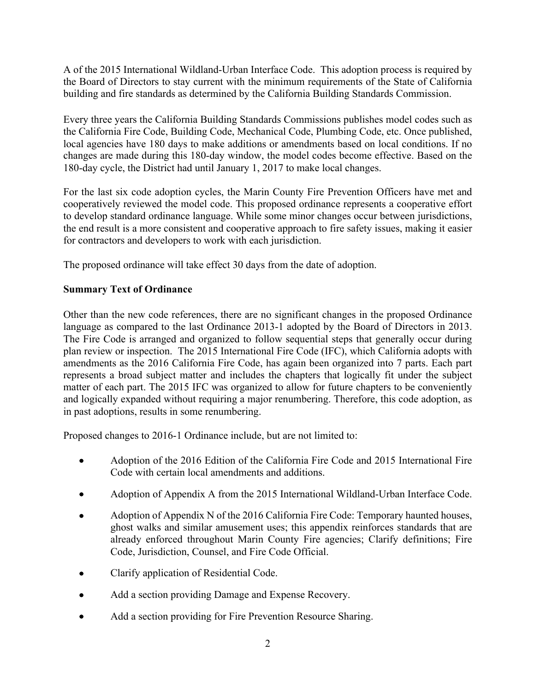A of the 2015 International Wildland-Urban Interface Code. This adoption process is required by the Board of Directors to stay current with the minimum requirements of the State of California building and fire standards as determined by the California Building Standards Commission.

Every three years the California Building Standards Commissions publishes model codes such as the California Fire Code, Building Code, Mechanical Code, Plumbing Code, etc. Once published, local agencies have 180 days to make additions or amendments based on local conditions. If no changes are made during this 180-day window, the model codes become effective. Based on the 180-day cycle, the District had until January 1, 2017 to make local changes.

For the last six code adoption cycles, the Marin County Fire Prevention Officers have met and cooperatively reviewed the model code. This proposed ordinance represents a cooperative effort to develop standard ordinance language. While some minor changes occur between jurisdictions, the end result is a more consistent and cooperative approach to fire safety issues, making it easier for contractors and developers to work with each jurisdiction.

The proposed ordinance will take effect 30 days from the date of adoption.

# **Summary Text of Ordinance**

Other than the new code references, there are no significant changes in the proposed Ordinance language as compared to the last Ordinance 2013-1 adopted by the Board of Directors in 2013. The Fire Code is arranged and organized to follow sequential steps that generally occur during plan review or inspection. The 2015 International Fire Code (IFC), which California adopts with amendments as the 2016 California Fire Code, has again been organized into 7 parts. Each part represents a broad subject matter and includes the chapters that logically fit under the subject matter of each part. The 2015 IFC was organized to allow for future chapters to be conveniently and logically expanded without requiring a major renumbering. Therefore, this code adoption, as in past adoptions, results in some renumbering.

Proposed changes to 2016-1 Ordinance include, but are not limited to:

- Adoption of the 2016 Edition of the California Fire Code and 2015 International Fire Code with certain local amendments and additions.
- Adoption of Appendix A from the 2015 International Wildland-Urban Interface Code.
- Adoption of Appendix N of the 2016 California Fire Code: Temporary haunted houses, ghost walks and similar amusement uses; this appendix reinforces standards that are already enforced throughout Marin County Fire agencies; Clarify definitions; Fire Code, Jurisdiction, Counsel, and Fire Code Official.
- Clarify application of Residential Code.
- Add a section providing Damage and Expense Recovery.
- Add a section providing for Fire Prevention Resource Sharing.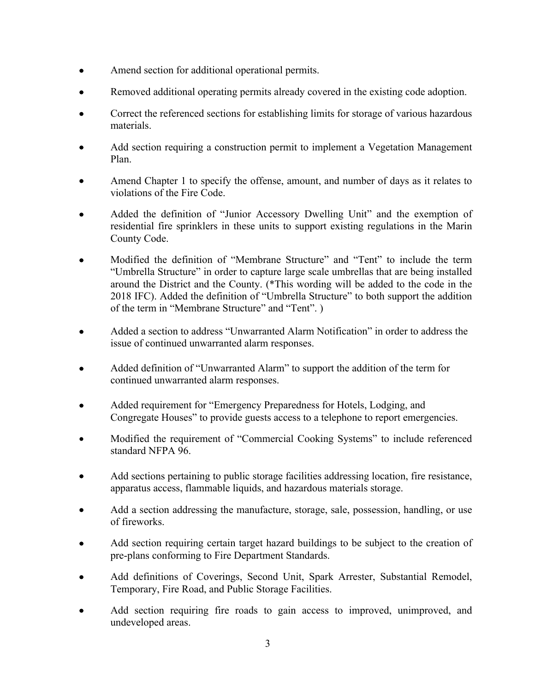- Amend section for additional operational permits.
- Removed additional operating permits already covered in the existing code adoption.
- Correct the referenced sections for establishing limits for storage of various hazardous materials.
- Add section requiring a construction permit to implement a Vegetation Management Plan.
- Amend Chapter 1 to specify the offense, amount, and number of days as it relates to violations of the Fire Code.
- Added the definition of "Junior Accessory Dwelling Unit" and the exemption of residential fire sprinklers in these units to support existing regulations in the Marin County Code.
- Modified the definition of "Membrane Structure" and "Tent" to include the term "Umbrella Structure" in order to capture large scale umbrellas that are being installed around the District and the County. (\*This wording will be added to the code in the 2018 IFC). Added the definition of "Umbrella Structure" to both support the addition of the term in "Membrane Structure" and "Tent". )
- Added a section to address "Unwarranted Alarm Notification" in order to address the issue of continued unwarranted alarm responses.
- Added definition of "Unwarranted Alarm" to support the addition of the term for continued unwarranted alarm responses.
- Added requirement for "Emergency Preparedness for Hotels, Lodging, and Congregate Houses" to provide guests access to a telephone to report emergencies.
- Modified the requirement of "Commercial Cooking Systems" to include referenced standard NFPA 96.
- Add sections pertaining to public storage facilities addressing location, fire resistance, apparatus access, flammable liquids, and hazardous materials storage.
- Add a section addressing the manufacture, storage, sale, possession, handling, or use of fireworks.
- Add section requiring certain target hazard buildings to be subject to the creation of pre-plans conforming to Fire Department Standards.
- Add definitions of Coverings, Second Unit, Spark Arrester, Substantial Remodel, Temporary, Fire Road, and Public Storage Facilities.
- Add section requiring fire roads to gain access to improved, unimproved, and undeveloped areas.